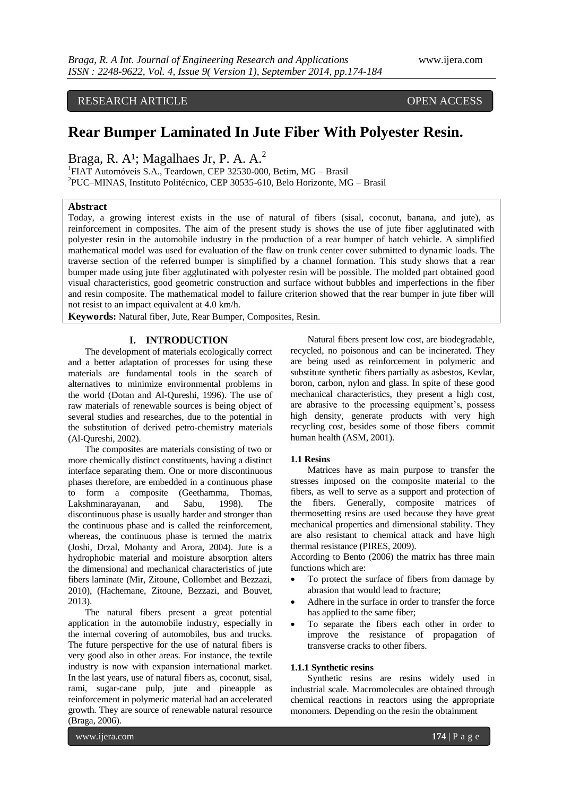RESEARCH ARTICLE OPEN ACCESS

# **Rear Bumper Laminated In Jute Fiber With Polyester Resin.**

Braga, R. A<sup>1</sup>; Magalhaes Jr, P. A. A.<sup>2</sup>

<sup>1</sup>FIAT Automóveis S.A., Teardown, CEP 32530-000, Betim, MG - Brasil 2 PUC–MINAS, Instituto Politécnico, CEP 30535-610, Belo Horizonte, MG – Brasil

### **Abstract**

Today, a growing interest exists in the use of natural of fibers (sisal, coconut, banana, and jute), as reinforcement in composites. The aim of the present study is shows the use of jute fiber agglutinated with polyester resin in the automobile industry in the production of a rear bumper of hatch vehicle. A simplified mathematical model was used for evaluation of the flaw on trunk center cover submitted to dynamic loads. The traverse section of the referred bumper is simplified by a channel formation. This study shows that a rear bumper made using jute fiber agglutinated with polyester resin will be possible. The molded part obtained good visual characteristics, good geometric construction and surface without bubbles and imperfections in the fiber and resin composite. The mathematical model to failure criterion showed that the rear bumper in jute fiber will not resist to an impact equivalent at 4.0 km/h.

**Keywords:** Natural fiber, Jute, Rear Bumper, Composites, Resin.

# **I. INTRODUCTION**

The development of materials ecologically correct and a better adaptation of processes for using these materials are fundamental tools in the search of alternatives to minimize environmental problems in the world (Dotan and Al-Qureshi, 1996). The use of raw materials of renewable sources is being object of several studies and researches, due to the potential in the substitution of derived petro-chemistry materials (Al-Qureshi, 2002).

The composites are materials consisting of two or more chemically distinct constituents, having a distinct interface separating them. One or more discontinuous phases therefore, are embedded in a continuous phase to form a composite (Geethamma, Thomas, Lakshminarayanan, and Sabu, 1998). The discontinuous phase is usually harder and stronger than the continuous phase and is called the reinforcement, whereas, the continuous phase is termed the matrix (Joshi, Drzal, Mohanty and Arora, 2004). Jute is a hydrophobic material and moisture absorption alters the dimensional and mechanical characteristics of jute fibers laminate (Mir, Zitoune, Collombet and Bezzazi, 2010), (Hachemane, Zitoune, Bezzazi, and Bouvet, 2013).

The natural fibers present a great potential application in the automobile industry, especially in the internal covering of automobiles, bus and trucks. The future perspective for the use of natural fibers is very good also in other areas. For instance, the textile industry is now with expansion international market. In the last years, use of natural fibers as, coconut, sisal, rami, sugar-cane pulp, jute and pineapple as reinforcement in polymeric material had an accelerated growth. They are source of renewable natural resource (Braga, 2006).

Natural fibers present low cost, are biodegradable, recycled, no poisonous and can be incinerated. They are being used as reinforcement in polymeric and substitute synthetic fibers partially as asbestos, Kevlar, boron, carbon, nylon and glass. In spite of these good mechanical characteristics, they present a high cost, are abrasive to the processing equipment's, possess high density, generate products with very high recycling cost, besides some of those fibers commit human health (ASM, 2001).

# **1.1 Resins**

Matrices have as main purpose to transfer the stresses imposed on the composite material to the fibers, as well to serve as a support and protection of the fibers. Generally, composite matrices of thermosetting resins are used because they have great mechanical properties and dimensional stability. They are also resistant to chemical attack and have high thermal resistance (PIRES, 2009).

According to Bento (2006) the matrix has three main functions which are:

- To protect the surface of fibers from damage by abrasion that would lead to fracture;
- Adhere in the surface in order to transfer the force has applied to the same fiber;
- To separate the fibers each other in order to improve the resistance of propagation of transverse cracks to other fibers.

# **1.1.1 Synthetic resins**

Synthetic resins are resins widely used in industrial scale. Macromolecules are obtained through chemical reactions in reactors using the appropriate monomers. Depending on the resin the obtainment

www.ijera.com **174** | P a g e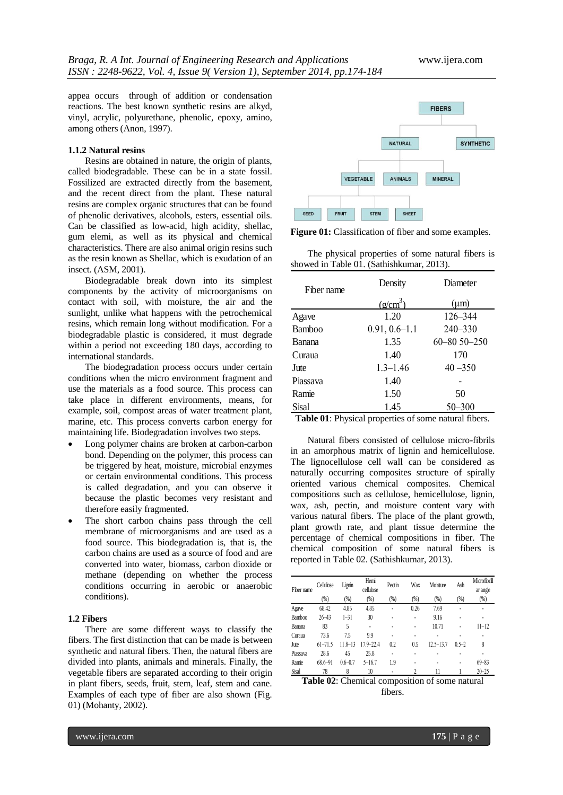appea occurs through of addition or condensation reactions. The best known synthetic resins are alkyd, vinyl, acrylic, polyurethane, phenolic, epoxy, amino, among others (Anon, 1997).

#### **1.1.2 Natural resins**

Resins are obtained in nature, the origin of plants, called biodegradable. These can be in a state fossil. Fossilized are extracted directly from the basement, and the recent direct from the plant. These natural resins are complex organic structures that can be found of phenolic derivatives, alcohols, esters, essential oils. Can be classified as low-acid, high acidity, shellac, gum elemi, as well as its physical and chemical characteristics. There are also animal origin resins such as the resin known as Shellac, which is exudation of an insect. (ASM, 2001).

Biodegradable break down into its simplest components by the activity of microorganisms on contact with soil, with moisture, the air and the sunlight, unlike what happens with the petrochemical resins, which remain long without modification. For a biodegradable plastic is considered, it must degrade within a period not exceeding 180 days, according to international standards.

The biodegradation process occurs under certain conditions when the micro environment fragment and use the materials as a food source. This process can take place in different environments, means, for example, soil, compost areas of water treatment plant, marine, etc. This process converts carbon energy for maintaining life. Biodegradation involves two steps.

- Long polymer chains are broken at carbon-carbon bond. Depending on the polymer, this process can be triggered by heat, moisture, microbial enzymes or certain environmental conditions. This process is called degradation, and you can observe it because the plastic becomes very resistant and therefore easily fragmented.
- The short carbon chains pass through the cell membrane of microorganisms and are used as a food source. This biodegradation is, that is, the carbon chains are used as a source of food and are converted into water, biomass, carbon dioxide or methane (depending on whether the process conditions occurring in aerobic or anaerobic conditions).

# **1.2 Fibers**

There are some different ways to classify the fibers. The first distinction that can be made is between synthetic and natural fibers. Then, the natural fibers are divided into plants, animals and minerals. Finally, the vegetable fibers are separated according to their origin in plant fibers, seeds, fruit, stem, leaf, stem and cane. Examples of each type of fiber are also shown (Fig. 01) (Mohanty, 2002).



**Figure 01:** Classification of fiber and some examples.

The physical properties of some natural fibers is showed in Table 01. (Sathishkumar, 2013).

| Density           | Diameter          |
|-------------------|-------------------|
|                   | $(\mu m)$         |
| 1.20              | 126-344           |
| $0.91, 0.6 - 1.1$ | 240-330           |
| 1.35              | $60 - 8050 - 250$ |
| 1.40              | 170               |
| $1.3 - 1.46$      | $40 - 350$        |
| 1.40              |                   |
| 1.50              | 50                |
| 1.45              | $50 - 300$        |
|                   | $(g/cm^3)$        |

**Table 01**: Physical properties of some natural fibers.

Natural fibers consisted of cellulose micro-fibrils in an amorphous matrix of lignin and hemicellulose. The lignocellulose cell wall can be considered as naturally occurring composites structure of spirally oriented various chemical composites. Chemical compositions such as cellulose, hemicellulose, lignin, wax, ash, pectin, and moisture content vary with various natural fibers. The place of the plant growth, plant growth rate, and plant tissue determine the percentage of chemical compositions in fiber. The chemical composition of some natural fibers is reported in Table 02. (Sathishkumar, 2013).

| Fiber name    | Cellulose                                      | Lignin      | Hemi<br>cellulose | Pectin         | Wax            | Moisture      | Ash       | Microfibrill<br>ar angle |
|---------------|------------------------------------------------|-------------|-------------------|----------------|----------------|---------------|-----------|--------------------------|
|               | (%)                                            | (%)         | (%)               | (%)            | $(% )^{(1,1)}$ | (%)           | (%)       | (%)                      |
| Agave         | 68.42                                          | 4.85        | 4.85              |                | 0.26           | 7.69          |           |                          |
| <b>Bamboo</b> | $26 - 43$                                      | $1 - 31$    | 30                |                |                | 9.16          |           |                          |
| Banana        | 83                                             | 5           | $\overline{a}$    |                |                | 10.71         |           | $11 - 12$                |
| Curaua        | 73.6                                           | 7.5         | 9.9               | $\overline{a}$ |                |               |           |                          |
| Jute          | $61 - 71.5$                                    | $11.8 - 13$ | $17.9 - 22.4$     | 0.2            | 0.5            | $12.5 - 13.7$ | $0.5 - 2$ | 8                        |
| Piassava      | 28.6                                           | 45          | 25.8              |                |                |               |           |                          |
| Ramie         | $68.6 - 91$                                    | $0.6 - 0.7$ | $5 - 16.7$        | 1.9            |                |               |           | $69 - 83$                |
| Sisal         | 78                                             | 8           | 10                |                |                | 11            |           | $20 - 25$                |
|               | Table 02. Chamical composition of some natural |             |                   |                |                |               |           |                          |

**Table 02**: Chemical composition of some natural fibers.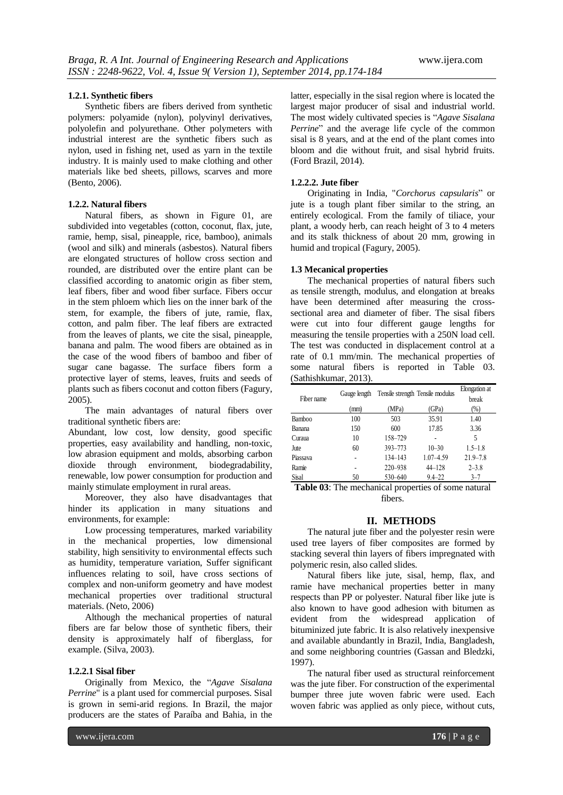#### **1.2.1. Synthetic fibers**

Synthetic fibers are fibers derived from synthetic polymers: polyamide (nylon), polyvinyl derivatives, polyolefin and polyurethane. Other polymeters with industrial interest are the synthetic fibers such as nylon, used in fishing net, used as yarn in the textile industry. It is mainly used to make clothing and other materials like bed sheets, pillows, scarves and more (Bento, 2006).

# **1.2.2. Natural fibers**

Natural fibers, as shown in Figure 01, are subdivided into vegetables (cotton, coconut, flax, jute, ramie, hemp, sisal, pineapple, rice, bamboo), animals (wool and silk) and minerals (asbestos). Natural fibers are elongated structures of hollow cross section and rounded, are distributed over the entire plant can be classified according to anatomic origin as fiber stem, leaf fibers, fiber and wood fiber surface. Fibers occur in the stem phloem which lies on the inner bark of the stem, for example, the fibers of jute, ramie, flax, cotton, and palm fiber. The leaf fibers are extracted from the leaves of plants, we cite the sisal, pineapple, banana and palm. The wood fibers are obtained as in the case of the wood fibers of bamboo and fiber of sugar cane bagasse. The surface fibers form a protective layer of stems, leaves, fruits and seeds of plants such as fibers coconut and cotton fibers (Fagury, 2005).

The main advantages of natural fibers over traditional synthetic fibers are:

Abundant, low cost, low density, good specific properties, easy availability and handling, non-toxic, low abrasion equipment and molds, absorbing carbon dioxide through environment, biodegradability, renewable, low power consumption for production and mainly stimulate employment in rural areas.

Moreover, they also have disadvantages that hinder its application in many situations and environments, for example:

Low processing temperatures, marked variability in the mechanical properties, low dimensional stability, high sensitivity to environmental effects such as humidity, temperature variation, Suffer significant influences relating to soil, have cross sections of complex and non-uniform geometry and have modest mechanical properties over traditional structural materials. (Neto, 2006)

Although the mechanical properties of natural fibers are far below those of synthetic fibers, their density is approximately half of fiberglass, for example. (Silva, 2003).

#### **1.2.2.1 Sisal fiber**

Originally from Mexico, the "*Agave Sisalana Perrine*" is a plant used for commercial purposes. Sisal is grown in semi-arid regions. In Brazil, the major producers are the states of Paraíba and Bahia, in the

latter, especially in the sisal region where is located the largest major producer of sisal and industrial world. The most widely cultivated species is "*Agave Sisalana Perrine*" and the average life cycle of the common sisal is 8 years, and at the end of the plant comes into bloom and die without fruit, and sisal hybrid fruits. (Ford Brazil, 2014).

# **1.2.2.2. Jute fiber**

Originating in India, "*Corchorus capsularis*" or jute is a tough plant fiber similar to the string, an entirely ecological. From the family of tiliace, your plant, a woody herb, can reach height of 3 to 4 meters and its stalk thickness of about 20 mm, growing in humid and tropical (Fagury, 2005).

#### **1.3 Mecanical properties**

The mechanical properties of natural fibers such as tensile strength, modulus, and elongation at breaks have been determined after measuring the crosssectional area and diameter of fiber. The sisal fibers were cut into four different gauge lengths for measuring the tensile properties with a 250N load cell. The test was conducted in displacement control at a rate of 0.1 mm/min. The mechanical properties of some natural fibers is reported in Table 03. (Sathishkumar, 2013).

| Fiber name    | Gauge length |         | Tensile strength Tensile modulus | <b>Elongation</b> at<br>break |
|---------------|--------------|---------|----------------------------------|-------------------------------|
|               | (mm)         | (MPa)   | (GPa)                            | (%)                           |
| <b>Bamboo</b> | 100          | 503     | 35.91                            | 1.40                          |
| Banana        | 150          | 600     | 17.85                            | 3.36                          |
| Curaua        | 10           | 158-729 |                                  | 5                             |
| Jute          | 60           | 393-773 | $10 - 30$                        | $1.5 - 1.8$                   |
| Piassava      |              | 134-143 | 1.07-4.59                        | $21.9 - 7.8$                  |
| Ramie         |              | 220-938 | $44 - 128$                       | $2 - 3.8$                     |
| Sisal         | 50           | 530-640 | $9.4 - 22$                       | $3 - 7$                       |

**Table 03**: The mechanical properties of some natural fibers.

# **II. METHODS**

The natural jute fiber and the polyester resin were used tree layers of fiber composites are formed by stacking several thin layers of fibers impregnated with polymeric resin, also called slides.

Natural fibers like jute, sisal, hemp, flax, and ramie have mechanical properties better in many respects than PP or polyester. Natural fiber like jute is also known to have good adhesion with bitumen as evident from the widespread application of bituminized jute fabric. It is also relatively inexpensive and available abundantly in Brazil, India, Bangladesh, and some neighboring countries (Gassan and Bledzki, 1997).

The natural fiber used as structural reinforcement was the jute fiber. For construction of the experimental bumper three jute woven fabric were used. Each woven fabric was applied as only piece, without cuts,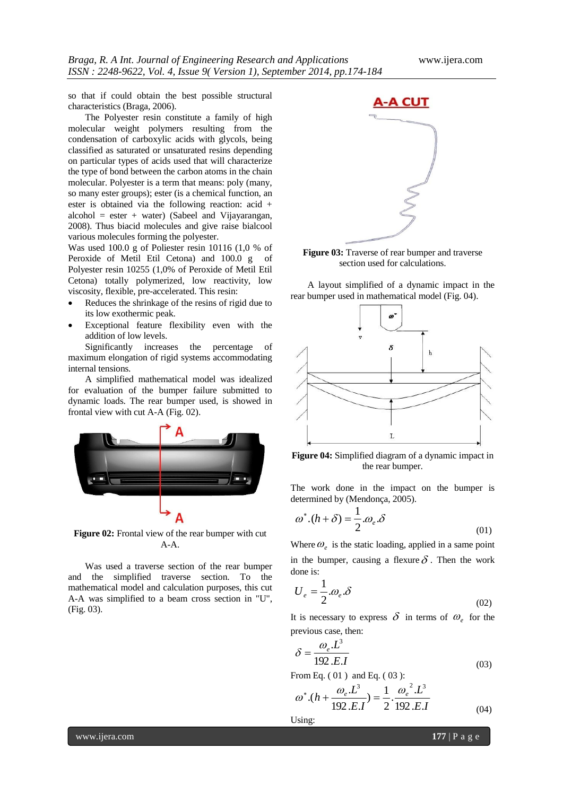so that if could obtain the best possible structural characteristics (Braga, 2006).

The Polyester resin constitute a family of high molecular weight polymers resulting from the condensation of carboxylic acids with glycols, being classified as saturated or unsaturated resins depending on particular types of acids used that will characterize the type of bond between the carbon atoms in the chain molecular. Polyester is a term that means: poly (many, so many ester groups); ester (is a chemical function, an ester is obtained via the following reaction: acid + alcohol = ester + water) (Sabeel and Vijayarangan, 2008). Thus biacid molecules and give raise bialcool various molecules forming the polyester.

Was used 100.0 g of Poliester resin 10116 (1,0 % of Peroxide of Metil Etil Cetona) and 100.0 g of Polyester resin 10255 (1,0% of Peroxide of Metil Etil Cetona) totally polymerized, low reactivity, low viscosity, flexible, pre-accelerated. This resin:

- Reduces the shrinkage of the resins of rigid due to its low exothermic peak.
- Exceptional feature flexibility even with the addition of low levels.

Significantly increases the percentage of maximum elongation of rigid systems accommodating internal tensions.

A simplified mathematical model was idealized for evaluation of the bumper failure submitted to dynamic loads. The rear bumper used, is showed in frontal view with cut A-A (Fig. 02).



**Figure 02:** Frontal view of the rear bumper with cut  $A-A$ .

Was used a traverse section of the rear bumper and the simplified traverse section. To the mathematical model and calculation purposes, this cut A-A was simplified to a beam cross section in "U", (Fig. 03).



**Figure 03:** Traverse of rear bumper and traverse section used for calculations.

A layout simplified of a dynamic impact in the rear bumper used in mathematical model (Fig. 04).



**Figure 04:** Simplified diagram of a dynamic impact in the rear bumper.

The work done in the impact on the bumper is determined by (Mendonça, 2005).

$$
\omega^*.(h+\delta) = \frac{1}{2} \omega_e \delta \tag{01}
$$

Where  $\omega_e$  is the static loading, applied in a same point in the bumper, causing a flexure  $\delta$ . Then the work done is:

$$
U_e = \frac{1}{2} \omega_e \mathcal{S}
$$
 (02)

It is necessary to express  $\delta$  in terms of  $\omega_e$  for the previous case, then:

$$
\delta = \frac{\omega_e L^3}{192.E.I}
$$
\n(03)

From Eq. ( 01 ) and Eq. ( 03 ):

$$
\omega^*.(h + \frac{\omega_e L^3}{192.E.I}) = \frac{1}{2} \cdot \frac{{\omega_e}^2 L^3}{192.E.I}
$$
\n(04)

Using: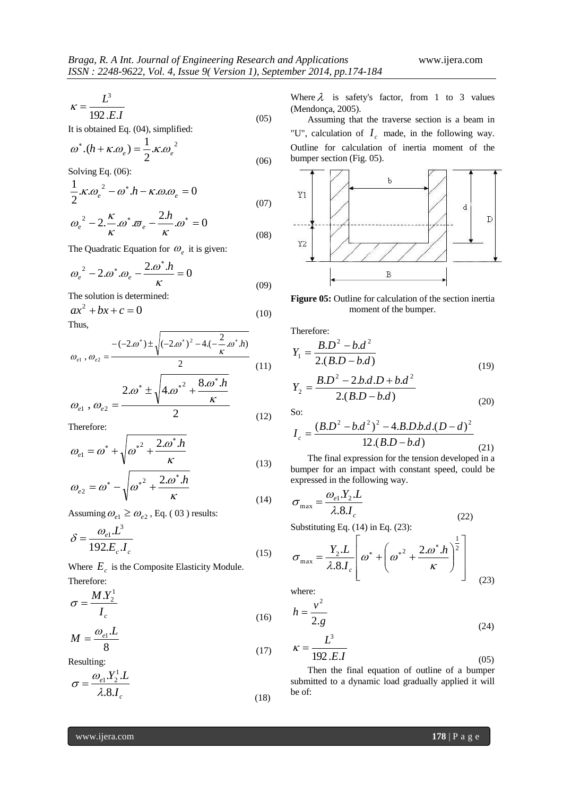$$
\kappa = \frac{L^3}{192.E.I} \tag{05}
$$

It is obtained Eq. (04), simplified:

$$
\omega^*.(h + \kappa.\omega_e) = \frac{1}{2} \kappa \omega_e^2
$$
\n(06)

Solving Eq. (06):

$$
\frac{1}{2} \kappa \omega_e^2 - \omega^* h - \kappa \omega \omega_e = 0
$$
\n(07)

$$
\omega_e^2 - 2 \frac{\kappa}{\kappa} \omega^* \varpi_e - \frac{2h}{\kappa} \omega^* = 0
$$
\n(08)

The Quadratic Equation for  $\omega_e$  it is given:

$$
\omega_e^2 - 2 \omega^* \omega_e - \frac{2 \omega^* h}{\kappa} = 0
$$
\n(09)

The solution is determined:

$$
ax^2 + bx + c = 0 \tag{10}
$$

Thus,

$$
\omega_{e1}, \omega_{e2} = \frac{-(-2.\omega^*) \pm \sqrt{(-2.\omega^*)^2 - 4.(-\frac{2}{\kappa}.\omega^* \cdot h)}}{2}
$$
(11)

$$
\omega_{e1}, \omega_{e2} = \frac{2 \omega^* \pm \sqrt{4 \omega^*^2 + \frac{8 \omega^* h}{\kappa}}}{2}
$$
\n(12)

Therefore:

$$
\omega_{e1} = \omega^* + \sqrt{{\omega^*}^2 + \frac{2 \omega^* h}{\kappa}}
$$
\n(13)

$$
\omega_{e2} = \omega^* - \sqrt{\omega^* + \frac{2.00 \text{ J}}{\kappa}} \tag{14}
$$

Assuming  $\omega_{e1} \ge \omega_{e2}$ , Eq. (03) results:

$$
\delta = \frac{\omega_{e1} \cdot L^3}{192 \cdot E_c \cdot I_c}
$$
\n(15)

Where  $E_c$  is the Composite Elasticity Module. Therefore:

$$
\sigma = \frac{M.Y_2^1}{I_c} \tag{16}
$$

$$
M = \frac{\omega_{e1} . L}{8} \tag{17}
$$

Resulting:

$$
\sigma = \frac{\omega_{e1} Y_2^1 \cdot L}{\lambda .8 J_c}
$$
\n(18)

Where  $\lambda$  is safety's factor, from 1 to 3 values (Mendonça, 2005).

Assuming that the traverse section is a beam in "U", calculation of  $I_c$  made, in the following way. Outline for calculation of inertia moment of the bumper section (Fig. 05).



**Figure 05:** Outline for calculation of the section inertia moment of the bumper.

Therefore:

$$
Y_1 = \frac{B.D^2 - b.d^2}{2.(B.D - b.d)}
$$
  
\n
$$
B.D^2 - 2.b.d.D + b.d^2
$$
 (19)

$$
Y_2 = \frac{B.D - 2.D.A.D + D.A}{2.(B.D - b.d)}
$$
\n(20)

So:

$$
I_c = \frac{(B.D^2 - b.d^2)^2 - 4.B.D.b.d.(D - d)^2}{12.(B.D - b.d)}
$$
(21)

The final expression for the tension developed in a bumper for an impact with constant speed, could be expressed in the following way.

$$
\sigma_{\text{max}} = \frac{\omega_{e1} Y_2 \cdot L}{\lambda.8 \cdot I_c}
$$
\n
$$
\text{Substituting Eq. (14) in Eq. (23):} \tag{22}
$$

 $\sqrt{ }$  $\mathcal{L}$ 

$$
\sigma_{\max} = \frac{Y_2 \cdot L}{\lambda .8 \cdot I_c} \left[ \omega^* + \left( \omega^{*2} + \frac{2 \cdot \omega^* \cdot h}{\kappa} \right)^{\frac{1}{2}} \right] \tag{23}
$$

where:

$$
h = \frac{v^2}{2 \cdot g}
$$
  

$$
\kappa = \frac{L^3}{100 \text{ Hz}}
$$
 (24)

$$
K = \frac{192 \, E \cdot J}{192 \, E \cdot J}
$$
\nThen the final equation of cutting of a human

Then the final equation of outline of a bumper submitted to a dynamic load gradually applied it will be of:

1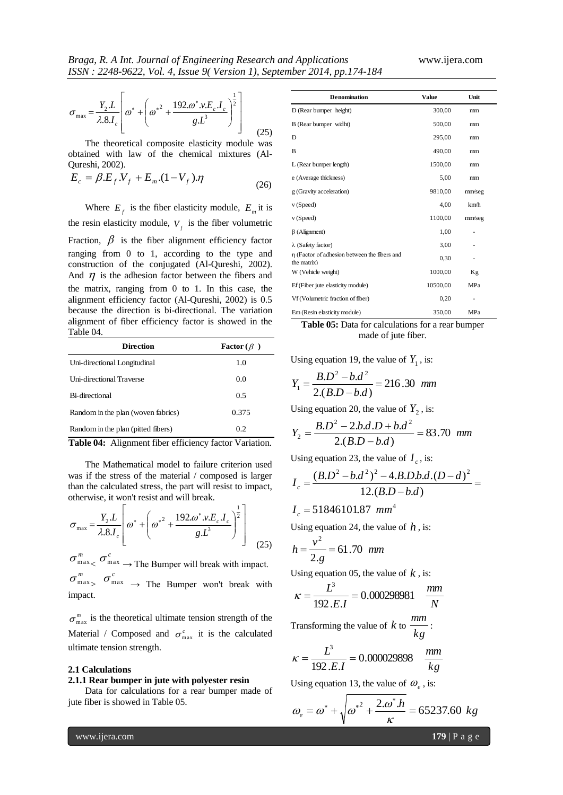$$
\sigma_{\text{max}} = \frac{Y_2 L}{\lambda . 8 L_c} \left[ \omega^* + \left( \omega^{*2} + \frac{192 \omega^* . v.E_c . I_c}{g . L^3} \right)^{\frac{1}{2}} \right]
$$
(25)

The theoretical composite elasticity module was obtained with law of the chemical mixtures (Al-Qureshi, 2002).

$$
E_c = \beta.E_f.V_f + E_m.(1-V_f).\eta
$$
\n(26)

Where  $E_f$  is the fiber elasticity module,  $E_m$  it is the resin elasticity module,  $V_f$  is the fiber volumetric Fraction,  $\beta$  is the fiber alignment efficiency factor ranging from 0 to 1, according to the type and construction of the conjugated (Al-Qureshi, 2002). And  $\eta$  is the adhesion factor between the fibers and the matrix, ranging from 0 to 1. In this case, the alignment efficiency factor (Al-Qureshi, 2002) is 0.5 because the direction is bi-directional. The variation alignment of fiber efficiency factor is showed in the Table 04.

| <b>Direction</b>                   | <b>Factor</b> ( $\beta$ ) |
|------------------------------------|---------------------------|
| Uni-directional Longitudinal       | 1.0                       |
| Uni-directional Traverse           | 0.0                       |
| Bi-directional                     | 0.5                       |
| Random in the plan (woven fabrics) | 0.375                     |
| Random in the plan (pitted fibers) | 0.2                       |

**Table 04:** Alignment fiber efficiency factor Variation.

The Mathematical model to failure criterion used was if the stress of the material / composed is larger than the calculated stress, the part will resist to impact, otherwise, it won't resist and will break.

$$
\sigma_{\text{max}} = \frac{Y_2 \cdot L}{\lambda.8 \cdot I_c} \left[ \omega^* + \left( \omega^{*^2} + \frac{192 \cdot \omega^* \cdot v \cdot E_c \cdot I_c}{g \cdot L^3} \right)^{\frac{1}{2}} \right]
$$
(25)

 $\sigma_{\max}^m < \sigma_{\max}^c \rightarrow$  The Bumper will break with impact.  $\sigma_{\max}^m$ ,  $\sigma_{\max}^c$   $\rightarrow$  The Bumper won't break with impact.

 $\sigma_{\text{max}}^{m}$  is the theoretical ultimate tension strength of the Material / Composed and  $\sigma_{\text{max}}^c$  it is the calculated ultimate tension strength.

#### **2.1 Calculations**

#### **2.1.1 Rear bumper in jute with polyester resin**

Data for calculations for a rear bumper made of jute fiber is showed in Table 05.

| <b>Denomination</b>                                         | <b>Value</b> | Unit   |
|-------------------------------------------------------------|--------------|--------|
| D (Rear bumper height)                                      | 300,00       | mm     |
| B (Rear bumper widht)                                       | 500,00       | mm     |
| D                                                           | 295,00       | mm     |
| B                                                           | 490.00       | mm     |
| L (Rear bumper length)                                      | 1500,00      | mm     |
| e (Average thickness)                                       | 5,00         | mm     |
| g (Gravity acceleration)                                    | 9810,00      | mm/seg |
| v (Speed)                                                   | 4,00         | km/h   |
| v (Speed)                                                   | 1100,00      | mm/seg |
| $\beta$ (Alignment)                                         | 1,00         |        |
| $\lambda$ (Safety factor)                                   | 3,00         |        |
| η (Factor of adhesion between the fibers and<br>the matrix) | 0,30         |        |
| W (Vehicle weight)                                          | 1000,00      | Κg     |
| Ef (Fiber jute elasticity module)                           | 10500,00     | MPa    |
| Vf (Volumetric fraction of fiber)                           | 0,20         |        |
| Em (Resin elasticity module)                                | 350,00       | MPa    |

**Table 05:** Data for calculations for a rear bumper made of jute fiber.

Using equation 19, the value of  $Y_1$ , is:

$$
Y_1 = \frac{B.D^2 - b.d^2}{2.(B.D - b.d)} = 216.30 \text{ mm}
$$

Using equation 20, the value of  $Y_2$ , is:

$$
Y_2 = \frac{B.D^2 - 2.b.d.D + b.d^2}{2.(B.D - b.d)} = 83.70 \text{ mm}
$$

Using equation 23, the value of 
$$
I_c
$$
, is:  
\n
$$
I_c = \frac{(B.D^2 - b.d^2)^2 - 4.B.D.b.d.(D - d)^2}{12.(B.D - b.d)} =
$$

$$
I_c = 51846101.87 \, mm^4
$$

Using equation 24, the value of  $h$ , is:

$$
h = \frac{v^2}{2 \cdot g} = 61.70 \text{ mm}
$$

Using equation 05, the value of  $k$ , is:

$$
\kappa = \frac{L^3}{192 \cdot E.I} = 0.000298981 \quad \frac{mm}{N}
$$

Transforming the value of  $k$  to  $\frac{mn}{kg}$  $\frac{mm}{\sqrt{2}}$ 

$$
\kappa = \frac{L^3}{192 \cdot E \cdot I} = 0.000029898 \quad \frac{mm}{kg}
$$

Using equation 13, the value of  $\omega_e$ , is:

$$
\omega_e = \omega^* + \sqrt{{\omega^*}^2 + \frac{2 \omega^* h}{\kappa}} = 65237.60 \text{ kg}
$$

www.ijera.com **179** | P a g e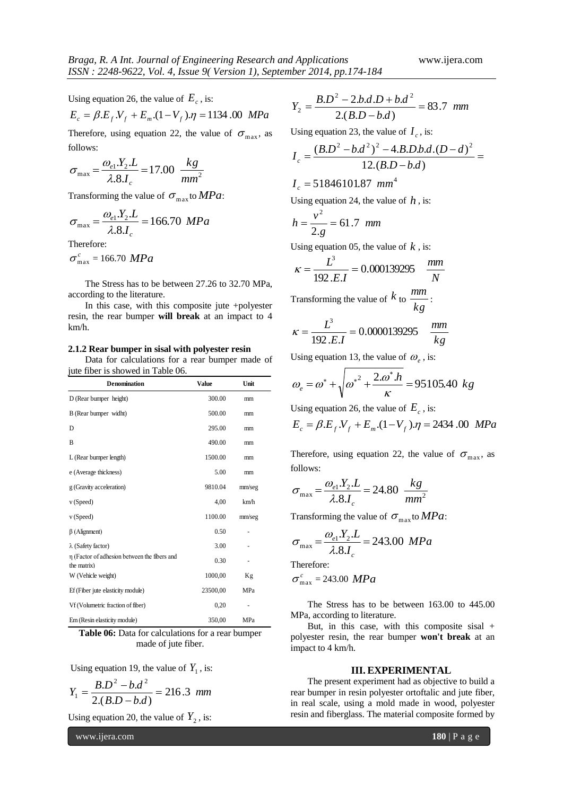Using equation 26, the value of  $E_c$ , is:

$$
E_c = \beta.E_f.V_f + E_m.(1 - V_f).\eta = 1134.00 \, MPa
$$

Therefore, using equation 22, the value of  $\sigma_{\text{max}}$ , as follows:

$$
\sigma_{\text{max}} = \frac{\omega_{e1} Y_2 L}{\lambda .8 J_c} = 17.00 \frac{kg}{mm^2}
$$

Transforming the value of  $\sigma_{\text{max}}$  to *MPa*:

$$
\sigma_{\text{max}} = \frac{\omega_{e1} Y_2 \cdot L}{\lambda.8 J_c} = 166.70 \, MPa
$$

Therefore:

$$
\sigma_{\max}^c = 166.70 \; MPa
$$

The Stress has to be between 27.26 to 32.70 MPa, according to the literature.

In this case, with this composite jute +polyester resin, the rear bumper **will break** at an impact to 4 km/h.

# **2.1.2 Rear bumper in sisal with polyester resin**

Data for calculations for a rear bumper made of jute fiber is showed in Table 06.

| <b>Denomination</b>                                         | <b>Value</b> | Unit   |  |
|-------------------------------------------------------------|--------------|--------|--|
| D (Rear bumper height)                                      | 300.00       | mm     |  |
| B (Rear bumper widht)                                       | 500.00       | mm     |  |
| D                                                           | 295.00       | mm     |  |
| B                                                           | 490.00       | mm     |  |
| L (Rear bumper length)                                      | 1500.00      | mm     |  |
| e (Average thickness)                                       | 5.00         | mm     |  |
| g (Gravity acceleration)                                    | 9810.04      | mm/seg |  |
| v (Speed)                                                   | 4,00         | km/h   |  |
| v(Speed)                                                    | 1100.00      | mm/seg |  |
| $\beta$ (Alignment)                                         | 0.50         | -      |  |
| $\lambda$ (Safety factor)                                   | 3.00         |        |  |
| η (Factor of adhesion between the fibers and<br>the matrix) | 0.30         |        |  |
| W (Vehicle weight)                                          | 1000,00      | Кg     |  |
| Ef (Fiber jute elasticity module)                           | 23500,00     | MPa    |  |
| Vf (Volumetric fraction of fiber)                           | 0,20         |        |  |
| Em (Resin elasticity module)                                | 350,00       | MPa    |  |

**Table 06:** Data for calculations for a rear bumper made of jute fiber.

Using equation 19, the value of  $Y_1$ , is:

$$
Y_1 = \frac{B.D^2 - b.d^2}{2.(B.D - b.d)} = 216.3 \text{ mm}
$$

Using equation 20, the value of  $Y_2$ , is:

www.ijera.com **180** | P a g e

$$
Y_2 = \frac{B.D^2 - 2.b.d.D + b.d^2}{2.(B.D - b.d)} = 83.7 \text{ mm}
$$

Using equation 23, the value of  $I_c$ , is:

$$
I_c = \frac{(B.D^2 - b.d^2)^2 - 4.B.D.b.d.(D - d)^2}{12.(B.D - b.d)} =
$$

$$
I_c = 51846101.87 \, mm
$$

Using equation 24, the value of  $h$ , is:

$$
h = \frac{v^2}{2 \cdot g} = 61.7 \ \text{mm}
$$

Using equation 05, the value of  $k$ , is:

$$
\kappa = \frac{L^3}{192.E.I} = 0.000139295 \quad \frac{mm}{N}
$$

Transforming the value of  $k$  to  $\frac{mn}{kg}$  $\frac{mm}{\sqrt{2}}$ 

$$
\kappa = \frac{L^3}{192.E.I} = 0.0000139295 \quad \frac{mm}{kg}
$$

Using equation 13, the value of  $\omega_e$ , is:

$$
\omega_e = \omega^* + \sqrt{{\omega^*}^2 + \frac{2 \omega^* h}{\kappa}} = 95105.40 \text{ kg}
$$

Using equation 26, the value of  $E_c$ , is:

$$
E_c = \beta.E_f.V_f + E_m.(1 - V_f).\eta = 2434.00 \, MPa
$$

Therefore, using equation 22, the value of  $\sigma_{\text{max}}$ , as follows:

$$
\sigma_{\text{max}} = \frac{\omega_{e1} . Y_2 . L}{\lambda . 8. I_c} = 24.80 \frac{kg}{mm^2}
$$

Transforming the value of  $\sigma_{\text{max}}$  to *MPa*:

$$
\sigma_{\text{max}} = \frac{\omega_{e1} Y_2 \cdot L}{\lambda.8 J_c} = 243.00 \, MPa
$$
\nTherefore:

\n
$$
\sigma_{\text{max}}^c = 243.00 \, MPa
$$

The Stress has to be between 163.00 to 445.00 MPa, according to literature.

But, in this case, with this composite sisal + polyester resin, the rear bumper **won't break** at an impact to 4 km/h.

#### **III. EXPERIMENTAL**

The present experiment had as objective to build a rear bumper in resin polyester ortoftalic and jute fiber, in real scale, using a mold made in wood, polyester resin and fiberglass. The material composite formed by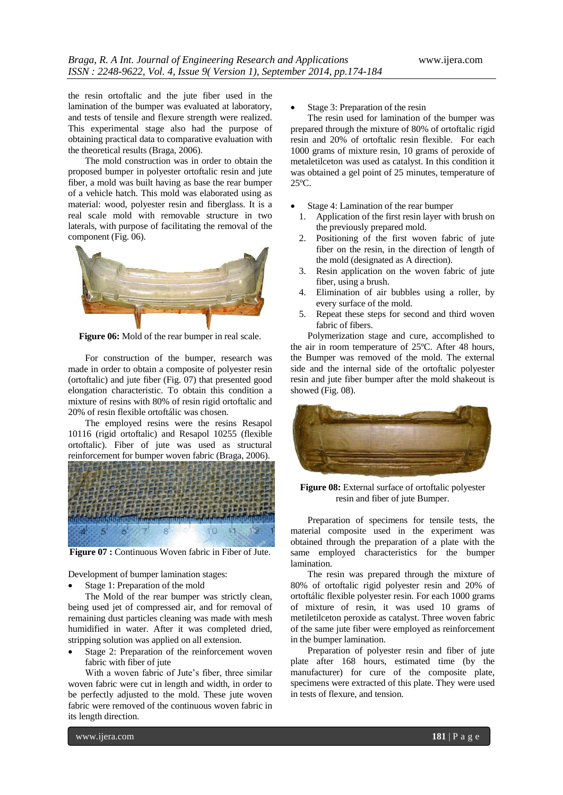the resin ortoftalic and the jute fiber used in the lamination of the bumper was evaluated at laboratory, and tests of tensile and flexure strength were realized. This experimental stage also had the purpose of obtaining practical data to comparative evaluation with the theoretical results (Braga, 2006).

The mold construction was in order to obtain the proposed bumper in polyester ortoftalic resin and jute fiber, a mold was built having as base the rear bumper of a vehicle hatch. This mold was elaborated using as material: wood, polyester resin and fiberglass. It is a real scale mold with removable structure in two laterals, with purpose of facilitating the removal of the component (Fig. 06).



**Figure 06:** Mold of the rear bumper in real scale.

For construction of the bumper, research was made in order to obtain a composite of polyester resin (ortoftalic) and jute fiber (Fig. 07) that presented good elongation characteristic. To obtain this condition a mixture of resins with 80% of resin rigid ortoftalic and 20% of resin flexible ortoftálic was chosen.

The employed resins were the resins Resapol 10116 (rigid ortoftalic) and Resapol 10255 (flexible ortoftalic). Fiber of jute was used as structural reinforcement for bumper woven fabric (Braga, 2006).



**Figure 07 :** Continuous Woven fabric in Fiber of Jute.

Development of bumper lamination stages:

Stage 1: Preparation of the mold

The Mold of the rear bumper was strictly clean, being used jet of compressed air, and for removal of remaining dust particles cleaning was made with mesh humidified in water. After it was completed dried, stripping solution was applied on all extension.

 Stage 2: Preparation of the reinforcement woven fabric with fiber of jute

With a woven fabric of Jute's fiber, three similar woven fabric were cut in length and width, in order to be perfectly adjusted to the mold. These jute woven fabric were removed of the continuous woven fabric in its length direction.

Stage 3: Preparation of the resin

The resin used for lamination of the bumper was prepared through the mixture of 80% of ortoftalic rigid resin and 20% of ortoftalic resin flexible. For each 1000 grams of mixture resin, 10 grams of peroxide of metaletilceton was used as catalyst. In this condition it was obtained a gel point of 25 minutes, temperature of 25ºC.

- Stage 4: Lamination of the rear bumper
- 1. Application of the first resin layer with brush on the previously prepared mold.
- 2. Positioning of the first woven fabric of jute fiber on the resin, in the direction of length of the mold (designated as A direction).
- 3. Resin application on the woven fabric of jute fiber, using a brush.
- 4. Elimination of air bubbles using a roller, by every surface of the mold.
- 5. Repeat these steps for second and third woven fabric of fibers.

Polymerization stage and cure, accomplished to the air in room temperature of 25ºC. After 48 hours, the Bumper was removed of the mold. The external side and the internal side of the ortoftalic polyester resin and jute fiber bumper after the mold shakeout is showed (Fig. 08).



**Figure 08:** External surface of ortoftalic polyester resin and fiber of jute Bumper.

Preparation of specimens for tensile tests, the material composite used in the experiment was obtained through the preparation of a plate with the same employed characteristics for the bumper lamination.

The resin was prepared through the mixture of 80% of ortoftalic rigid polyester resin and 20% of ortoftálic flexible polyester resin. For each 1000 grams of mixture of resin, it was used 10 grams of metiletilceton peroxide as catalyst. Three woven fabric of the same jute fiber were employed as reinforcement in the bumper lamination.

Preparation of polyester resin and fiber of jute plate after 168 hours, estimated time (by the manufacturer) for cure of the composite plate, specimens were extracted of this plate. They were used in tests of flexure, and tension.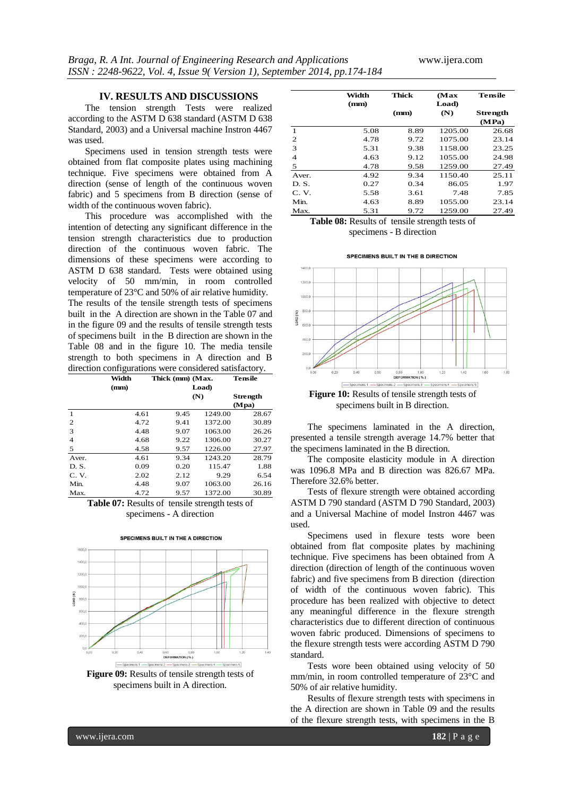#### **IV. RESULTS AND DISCUSSIONS**

The tension strength Tests were realized according to the ASTM D 638 standard (ASTM D 638 Standard, 2003) and a Universal machine Instron 4467 was used.

Specimens used in tension strength tests were obtained from flat composite plates using machining technique. Five specimens were obtained from A direction (sense of length of the continuous woven fabric) and 5 specimens from B direction (sense of width of the continuous woven fabric).

This procedure was accomplished with the intention of detecting any significant difference in the tension strength characteristics due to production direction of the continuous woven fabric. The dimensions of these specimens were according to ASTM D 638 standard. Tests were obtained using velocity of 50 mm/min, in room controlled temperature of 23°C and 50% of air relative humidity. The results of the tensile strength tests of specimens built in the A direction are shown in the Table 07 and in the figure 09 and the results of tensile strength tests of specimens built in the B direction are shown in the Table 08 and in the figure 10. The media tensile strength to both specimens in A direction and B direction configurations were considered satisfactory.

|                | Width | Thick (mm) (Max. |         | Tensile         |
|----------------|-------|------------------|---------|-----------------|
|                | (mm)  |                  | Load)   |                 |
|                |       |                  | (N)     | <b>Strength</b> |
|                |       |                  |         | (Mpa)           |
| 1              | 4.61  | 9.45             | 1249.00 | 28.67           |
| $\overline{2}$ | 4.72  | 9.41             | 1372.00 | 30.89           |
| 3              | 4.48  | 9.07             | 1063.00 | 26.26           |
| $\overline{4}$ | 4.68  | 9.22             | 1306.00 | 30.27           |
| 5              | 4.58  | 9.57             | 1226.00 | 27.97           |
| Aver.          | 4.61  | 9.34             | 1243.20 | 28.79           |
| D. S.          | 0.09  | 0.20             | 115.47  | 1.88            |
| C. V.          | 2.02  | 2.12             | 9.29    | 6.54            |
| Min.           | 4.48  | 9.07             | 1063.00 | 26.16           |
| Max.           | 4.72  | 9.57             | 1372.00 | 30.89           |

**Table 07:** Results of tensile strength tests of specimens - A direction

SPECIMENS BUILT IN THE A DIRECTION



**Figure 09:** Results of tensile strength tests of specimens built in A direction.

|       | Width<br>(mm) | Thick | (Max<br>Load) | Tensile           |
|-------|---------------|-------|---------------|-------------------|
|       |               | (mm)  | (N)           | Strength<br>(MPa) |
| 1     | 5.08          | 8.89  | 1205.00       | 26.68             |
| 2     | 4.78          | 9.72  | 1075.00       | 23.14             |
| 3     | 5.31          | 9.38  | 1158.00       | 23.25             |
| 4     | 4.63          | 9.12  | 1055.00       | 24.98             |
| 5     | 4.78          | 9.58  | 1259.00       | 27.49             |
| Aver. | 4.92          | 9.34  | 1150.40       | 25.11             |
| D.S.  | 0.27          | 0.34  | 86.05         | 1.97              |
| C. V. | 5.58          | 3.61  | 7.48          | 7.85              |
| Min.  | 4.63          | 8.89  | 1055.00       | 23.14             |
| Max.  | 5.31          | 9.72  | 1259.00       | 27.49             |

**Table 08:** Results of tensile strength tests of specimens - B direction





specimens built in B direction.

The specimens laminated in the A direction, presented a tensile strength average 14.7% better that the specimens laminated in the B direction.

The composite elasticity module in A direction was 1096.8 MPa and B direction was 826.67 MPa. Therefore 32.6% better.

Tests of flexure strength were obtained according ASTM D 790 standard (ASTM D 790 Standard, 2003) and a Universal Machine of model Instron 4467 was used.

Specimens used in flexure tests wore been obtained from flat composite plates by machining technique. Five specimens has been obtained from A direction (direction of length of the continuous woven fabric) and five specimens from B direction (direction of width of the continuous woven fabric). This procedure has been realized with objective to detect any meaningful difference in the flexure strength characteristics due to different direction of continuous woven fabric produced. Dimensions of specimens to the flexure strength tests were according ASTM D 790 standard.

Tests wore been obtained using velocity of 50 mm/min, in room controlled temperature of 23°C and 50% of air relative humidity.

Results of flexure strength tests with specimens in the A direction are shown in Table 09 and the results of the flexure strength tests, with specimens in the B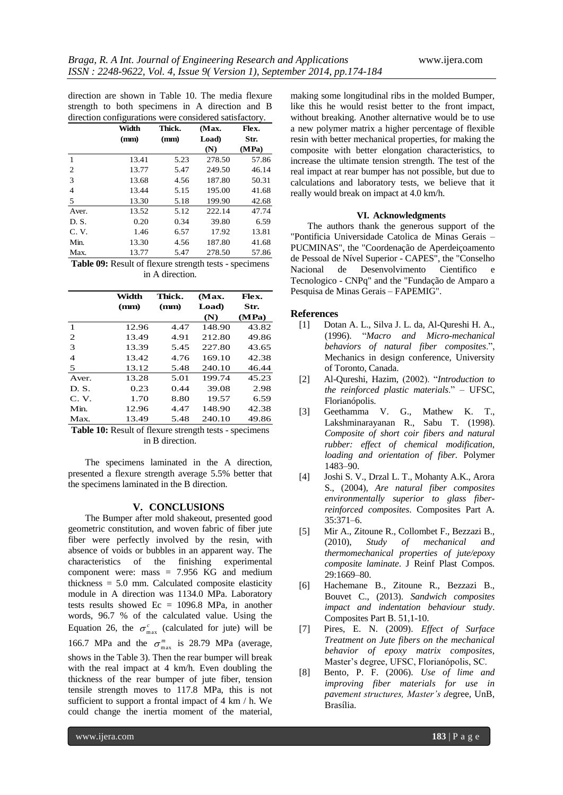direction are shown in Table 10. The media flexure strength to both specimens in A direction and B direction configurations were considered satisfactory.

|       | Width | Thick. | (Max.  | Flex. |
|-------|-------|--------|--------|-------|
|       | (mm)  | (mm)   | Load)  | Str.  |
|       |       |        | (N)    | (MPa) |
| 1     | 13.41 | 5.23   | 278.50 | 57.86 |
| 2     | 13.77 | 5.47   | 249.50 | 46.14 |
| 3     | 13.68 | 4.56   | 187.80 | 50.31 |
| 4     | 13.44 | 5.15   | 195.00 | 41.68 |
| 5     | 13.30 | 5.18   | 199.90 | 42.68 |
| Aver. | 13.52 | 5.12   | 222.14 | 47.74 |
| D.S.  | 0.20  | 0.34   | 39.80  | 6.59  |
| C.V.  | 1.46  | 6.57   | 17.92  | 13.81 |
| Min.  | 13.30 | 4.56   | 187.80 | 41.68 |
| Max.  | 13.77 | 5.47   | 278.50 | 57.86 |

**Table 09:** Result of flexure strength tests - specimens in A direction.

|                | Width | Thick. | (Max.  | Flex. |
|----------------|-------|--------|--------|-------|
|                | (mm)  | (mm)   | Load)  | Str.  |
|                |       |        | (N)    | (MPa) |
| 1              | 12.96 | 4.47   | 148.90 | 43.82 |
| $\overline{2}$ | 13.49 | 4.91   | 212.80 | 49.86 |
| 3              | 13.39 | 5.45   | 227.80 | 43.65 |
| $\overline{4}$ | 13.42 | 4.76   | 169.10 | 42.38 |
| 5              | 13.12 | 5.48   | 240.10 | 46.44 |
| Aver.          | 13.28 | 5.01   | 199.74 | 45.23 |
| D.S.           | 0.23  | 0.44   | 39.08  | 2.98  |
| C. V.          | 1.70  | 8.80   | 19.57  | 6.59  |
| Min.           | 12.96 | 4.47   | 148.90 | 42.38 |
| Max.           | 13.49 | 5.48   | 240.10 | 49.86 |
|                |       |        |        |       |

**Table 10:** Result of flexure strength tests - specimens in B direction.

The specimens laminated in the A direction, presented a flexure strength average 5.5% better that the specimens laminated in the B direction.

# **V. CONCLUSIONS**

The Bumper after mold shakeout, presented good geometric constitution, and woven fabric of fiber jute fiber were perfectly involved by the resin, with absence of voids or bubbles in an apparent way. The characteristics of the finishing experimental component were: mass = 7.956 KG and medium thickness = 5.0 mm. Calculated composite elasticity module in A direction was 1134.0 MPa. Laboratory tests results showed  $Ec = 1096.8$  MPa, in another words, 96.7 % of the calculated value. Using the Equation 26, the  $\sigma_{\text{max}}^c$  (calculated for jute) will be 166.7 MPa and the  $\sigma_{\text{max}}^m$  is 28.79 MPa (average, shows in the Table 3). Then the rear bumper will break with the real impact at 4 km/h. Even doubling the thickness of the rear bumper of jute fiber, tension tensile strength moves to 117.8 MPa, this is not sufficient to support a frontal impact of 4 km / h. We could change the inertia moment of the material,

making some longitudinal ribs in the molded Bumper, like this he would resist better to the front impact, without breaking. Another alternative would be to use a new polymer matrix a higher percentage of flexible resin with better mechanical properties, for making the composite with better elongation characteristics, to increase the ultimate tension strength. The test of the real impact at rear bumper has not possible, but due to calculations and laboratory tests, we believe that it really would break on impact at 4.0 km/h.

#### **VI. Acknowledgments**

The authors thank the generous support of the "Pontificia Universidade Catolica de Minas Gerais – PUCMINAS", the "Coordenação de Aperdeiçoamento de Pessoal de Nível Superior - CAPES", the "Conselho Nacional de Desenvolvimento Cientifico e Tecnologico - CNPq" and the "Fundação de Amparo a Pesquisa de Minas Gerais – FAPEMIG".

# **References**

- [1] Dotan A. L., Silva J. L. da, Al-Qureshi H. A., (1996). "*Macro and Micro-mechanical behaviors of natural fiber composites*.", Mechanics in design conference, University of Toronto, Canada.
- [2] Al-Qureshi, Hazim, (2002). "*Introduction to the reinforced plastic materials*." – UFSC, Florianópolis.
- [3] Geethamma V. G., Mathew K. T., Lakshminarayanan R., Sabu T. (1998). *Composite of short coir fibers and natural rubber: effect of chemical modification, loading and orientation of fiber.* Polymer 1483–90.
- [4] Joshi S. V., Drzal L. T., Mohanty A.K., Arora S., (2004), *Are natural fiber composites environmentally superior to glass fiberreinforced composites*. Composites Part A. 35:371–6.
- [5] Mir A., Zitoune R., Collombet F., Bezzazi B., (2010), *Study of mechanical and thermomechanical properties of jute/epoxy composite laminate*. J Reinf Plast Compos. 29:1669–80.
- [6] Hachemane B., Zitoune R., Bezzazi B., Bouvet C., (2013). *Sandwich composites impact and indentation behaviour study*. Composites Part B. 51,1-10.
- [7] Pires, E. N. (2009). *Effect of Surface Treatment on Jute fibers on the mechanical behavior of epoxy matrix composites,*  Master's degree, UFSC, Florianópolis, SC.
- [8] Bento, P. F. (2006). *Use of lime and improving fiber materials for use in pavement structures, Master's d*egree, UnB, Brasília.